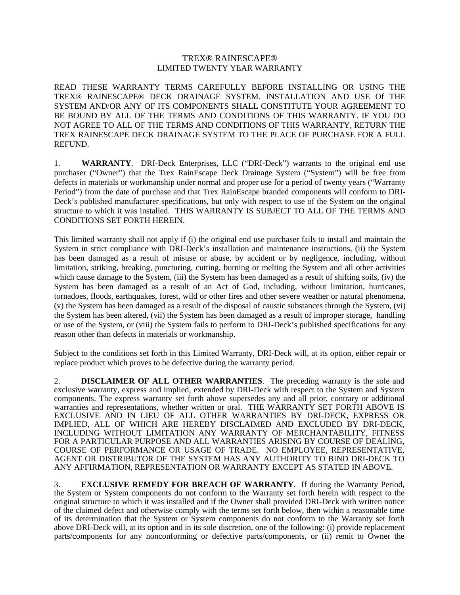## TREX® RAINESCAPE® LIMITED TWENTY YEAR WARRANTY

READ THESE WARRANTY TERMS CAREFULLY BEFORE INSTALLING OR USING THE TREX® RAINESCAPE® DECK DRAINAGE SYSTEM. INSTALLATION AND USE Of THE SYSTEM AND/OR ANY OF ITS COMPONENTS SHALL CONSTITUTE YOUR AGREEMENT TO BE BOUND BY ALL OF THE TERMS AND CONDITIONS OF THIS WARRANTY. IF YOU DO NOT AGREE TO ALL OF THE TERMS AND CONDITIONS OF THIS WARRANTY, RETURN THE TREX RAINESCAPE DECK DRAINAGE SYSTEM TO THE PLACE OF PURCHASE FOR A FULL REFUND.

1. **WARRANTY**. DRI-Deck Enterprises, LLC ("DRI-Deck") warrants to the original end use purchaser ("Owner") that the Trex RainEscape Deck Drainage System ("System") will be free from defects in materials or workmanship under normal and proper use for a period of twenty years ("Warranty Period") from the date of purchase and that Trex RainEscape branded components will conform to DRI-Deck's published manufacturer specifications, but only with respect to use of the System on the original structure to which it was installed. THIS WARRANTY IS SUBJECT TO ALL OF THE TERMS AND CONDITIONS SET FORTH HEREIN.

This limited warranty shall not apply if (i) the original end use purchaser fails to install and maintain the System in strict compliance with DRI-Deck's installation and maintenance instructions, (ii) the System has been damaged as a result of misuse or abuse, by accident or by negligence, including, without limitation, striking, breaking, puncturing, cutting, burning or melting the System and all other activities which cause damage to the System, (iii) the System has been damaged as a result of shifting soils, (iv) the System has been damaged as a result of an Act of God, including, without limitation, hurricanes, tornadoes, floods, earthquakes, forest, wild or other fires and other severe weather or natural phenomena, (v) the System has been damaged as a result of the disposal of caustic substances through the System, (vi) the System has been altered, (vii) the System has been damaged as a result of improper storage, handling or use of the System, or (viii) the System fails to perform to DRI-Deck's published specifications for any reason other than defects in materials or workmanship.

Subject to the conditions set forth in this Limited Warranty, DRI-Deck will, at its option, either repair or replace product which proves to be defective during the warranty period.

2. **DISCLAIMER OF ALL OTHER WARRANTIES**. The preceding warranty is the sole and exclusive warranty, express and implied, extended by DRI-Deck with respect to the System and System components. The express warranty set forth above supersedes any and all prior, contrary or additional warranties and representations, whether written or oral. THE WARRANTY SET FORTH ABOVE IS EXCLUSIVE AND IN LIEU OF ALL OTHER WARRANTIES BY DRI-DECK, EXPRESS OR IMPLIED, ALL OF WHICH ARE HEREBY DISCLAIMED AND EXCLUDED BY DRI-DECK, INCLUDING WITHOUT LIMITATION ANY WARRANTY OF MERCHANTABILITY, FITNESS FOR A PARTICULAR PURPOSE AND ALL WARRANTIES ARISING BY COURSE OF DEALING, COURSE OF PERFORMANCE OR USAGE OF TRADE. NO EMPLOYEE, REPRESENTATIVE, AGENT OR DISTRIBUTOR OF THE SYSTEM HAS ANY AUTHORITY TO BIND DRI-DECK TO ANY AFFIRMATION, REPRESENTATION OR WARRANTY EXCEPT AS STATED IN ABOVE.

3. **EXCLUSIVE REMEDY FOR BREACH OF WARRANTY**. If during the Warranty Period, the System or System components do not conform to the Warranty set forth herein with respect to the original structure to which it was installed and if the Owner shall provided DRI-Deck with written notice of the claimed defect and otherwise comply with the terms set forth below, then within a reasonable time of its determination that the System or System components do not conform to the Warranty set forth above DRI-Deck will, at its option and in its sole discretion, one of the following: (i) provide replacement parts/components for any nonconforming or defective parts/components, or (ii) remit to Owner the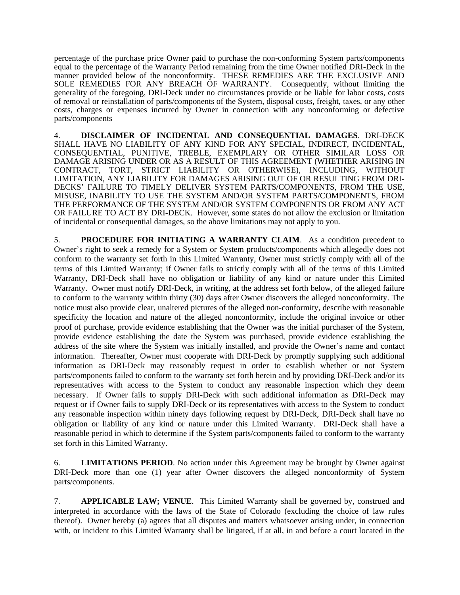percentage of the purchase price Owner paid to purchase the non-conforming System parts/components equal to the percentage of the Warranty Period remaining from the time Owner notified DRI-Deck in the manner provided below of the nonconformity. THESE REMEDIES ARE THE EXCLUSIVE AND SOLE REMEDIES FOR ANY BREACH OF WARRANTY. Consequently, without limiting the generality of the foregoing, DRI-Deck under no circumstances provide or be liable for labor costs, costs of removal or reinstallation of parts/components of the System, disposal costs, freight, taxes, or any other costs, charges or expenses incurred by Owner in connection with any nonconforming or defective parts/components

4. **DISCLAIMER OF INCIDENTAL AND CONSEQUENTIAL DAMAGES**. DRI-DECK SHALL HAVE NO LIABILITY OF ANY KIND FOR ANY SPECIAL, INDIRECT, INCIDENTAL, CONSEQUENTIAL, PUNITIVE, TREBLE, EXEMPLARY OR OTHER SIMILAR LOSS OR DAMAGE ARISING UNDER OR AS A RESULT OF THIS AGREEMENT (WHETHER ARISING IN CONTRACT, TORT, STRICT LIABILITY OR OTHERWISE), INCLUDING, WITHOUT LIMITATION, ANY LIABILITY FOR DAMAGES ARISING OUT OF OR RESULTING FROM DRI-DECKS' FAILURE TO TIMELY DELIVER SYSTEM PARTS/COMPONENTS, FROM THE USE, MISUSE, INABILITY TO USE THE SYSTEM AND/OR SYSTEM PARTS/COMPONENTS, FROM THE PERFORMANCE OF THE SYSTEM AND/OR SYSTEM COMPONENTS OR FROM ANY ACT OR FAILURE TO ACT BY DRI-DECK. However, some states do not allow the exclusion or limitation of incidental or consequential damages, so the above limitations may not apply to you.

5. **PROCEDURE FOR INITIATING A WARRANTY CLAIM**. As a condition precedent to Owner's right to seek a remedy for a System or System products/components which allegedly does not conform to the warranty set forth in this Limited Warranty, Owner must strictly comply with all of the terms of this Limited Warranty; if Owner fails to strictly comply with all of the terms of this Limited Warranty, DRI-Deck shall have no obligation or liability of any kind or nature under this Limited Warranty. Owner must notify DRI-Deck, in writing, at the address set forth below, of the alleged failure to conform to the warranty within thirty (30) days after Owner discovers the alleged nonconformity. The notice must also provide clear, unaltered pictures of the alleged non-conformity, describe with reasonable specificity the location and nature of the alleged nonconformity, include the original invoice or other proof of purchase, provide evidence establishing that the Owner was the initial purchaser of the System, provide evidence establishing the date the System was purchased, provide evidence establishing the address of the site where the System was initially installed, and provide the Owner's name and contact information. Thereafter, Owner must cooperate with DRI-Deck by promptly supplying such additional information as DRI-Deck may reasonably request in order to establish whether or not System parts/components failed to conform to the warranty set forth herein and by providing DRI-Deck and/or its representatives with access to the System to conduct any reasonable inspection which they deem necessary. If Owner fails to supply DRI-Deck with such additional information as DRI-Deck may request or if Owner fails to supply DRI-Deck or its representatives with access to the System to conduct any reasonable inspection within ninety days following request by DRI-Deck, DRI-Deck shall have no obligation or liability of any kind or nature under this Limited Warranty. DRI-Deck shall have a reasonable period in which to determine if the System parts/components failed to conform to the warranty set forth in this Limited Warranty.

6. **LIMITATIONS PERIOD**. No action under this Agreement may be brought by Owner against DRI-Deck more than one (1) year after Owner discovers the alleged nonconformity of System parts/components.

7. **APPLICABLE LAW; VENUE**. This Limited Warranty shall be governed by, construed and interpreted in accordance with the laws of the State of Colorado (excluding the choice of law rules thereof). Owner hereby (a) agrees that all disputes and matters whatsoever arising under, in connection with, or incident to this Limited Warranty shall be litigated, if at all, in and before a court located in the